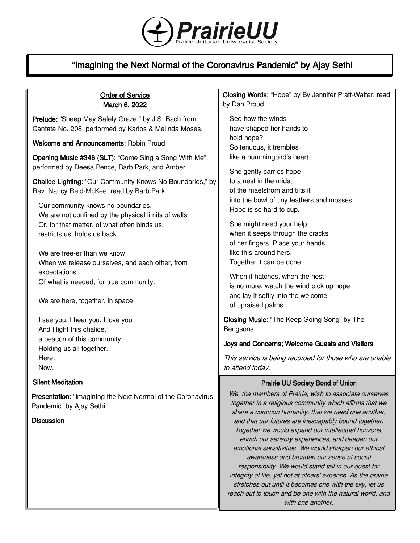

# "Imagining the Next Normal of the Coronavirus Pandemic" by Ajay Sethi

## Order of Service March 6, 2022

Prelude: "Sheep May Safely Graze," by J.S. Bach from Cantata No. 208, performed by Karlos & Melinda Moses.

Welcome and Announcements: Robin Proud

Opening Music #346 (SLT): "Come Sing a Song With Me", performed by Deesa Pence, Barb Park, and Amber.

Chalice Lighting: "Our Community Knows No Boundaries," by Rev. Nancy Reid-McKee, read by Barb Park.

Our community knows no boundaries. We are not confined by the physical limits of walls Or, for that matter, of what often binds us, restricts us, holds us back.

We are free-er than we know When we release ourselves, and each other, from expectations Of what is needed, for true community.

We are here, together, in space

I see you, I hear you, I love you And I light this chalice, a beacon of this community Holding us all together. Here. Now.

## Silent Meditation

Presentation: "Imagining the Next Normal of the Coronavirus Pandemic" by Ajay Sethi.

## **Discussion**

Closing Words: "Hope" by By Jennifer Pratt-Walter, read by Dan Proud.

See how the winds have shaped her hands to hold hope? So tenuous, it trembles like a hummingbird's heart.

She gently carries hope to a nest in the midst of the maelstrom and tilts it into the bowl of tiny feathers and mosses. Hope is so hard to cup.

She might need your help when it seeps through the cracks of her fingers. Place your hands like this around hers. Together it can be done.

When it hatches, when the nest is no more, watch the wind pick up hope and lay it softly into the welcome of upraised palms.

Closing Music: "The Keep Going Song" by The Bengsons.

## Joys and Concerns; Welcome Guests and Visitors

This service is being recorded for those who are unable to attend today.

## Prairie UU Society Bond of Union

We, the members of Prairie, wish to associate ourselves together in a religious community which affirms that we share a common humanity, that we need one another, and that our futures are inescapably bound together. Together we would expand our intellectual horizons, enrich our sensory experiences, and deepen our emotional sensitivities. We would sharpen our ethical awareness and broaden our sense of social responsibility. We would stand tall in our quest for integrity of life, yet not at others' expense. As the prairie stretches out until it becomes one with the sky, let us reach out to touch and be one with the natural world, and with one another.